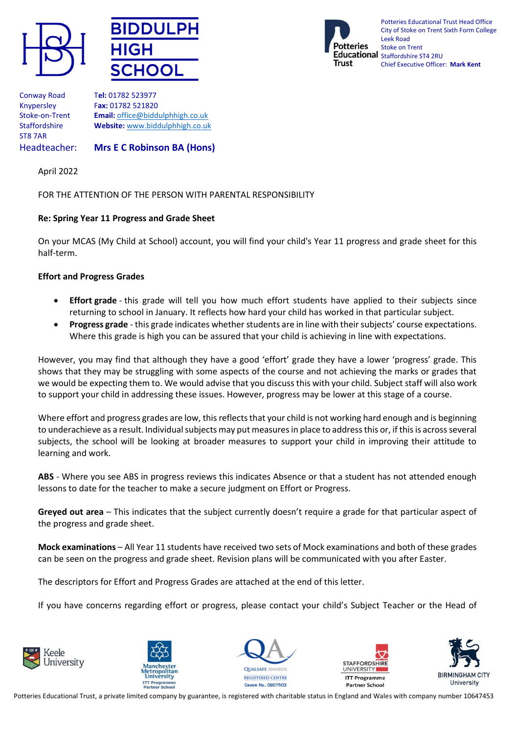





Potteries Educational Trust Head Office City of Stoke on Trent Sixth Form College Leek Road Stoke on Trent Educational Staffordshire ST4 2RU Chief Executive Officer: **Mark Kent**

Conway Road T**el:** 01782 523977 Knypersley F**ax:** 01782 521820 ST8 7AR

Stoke-on-Trent **Email:** [office@biddulphhigh.co.uk](mailto:office@biddulphhigh.co.uk) Staffordshire **Website:** [www.biddulphhigh.co.uk](http://www.biddulphhigh.co.uk/) 

# Headteacher: **Mrs E C Robinson BA (Hons)**

April 2022

## FOR THE ATTENTION OF THE PERSON WITH PARENTAL RESPONSIBILITY

#### **Re: Spring Year 11 Progress and Grade Sheet**

On your MCAS (My Child at School) account, you will find your child's Year 11 progress and grade sheet for this half-term.

#### **Effort and Progress Grades**

- **Effort grade** this grade will tell you how much effort students have applied to their subjects since returning to school in January. It reflects how hard your child has worked in that particular subject.
- **Progress grade** this grade indicates whether students are in line with their subjects' course expectations. Where this grade is high you can be assured that your child is achieving in line with expectations.

However, you may find that although they have a good 'effort' grade they have a lower 'progress' grade. This shows that they may be struggling with some aspects of the course and not achieving the marks or grades that we would be expecting them to. We would advise that you discuss this with your child. Subject staff will also work to support your child in addressing these issues. However, progress may be lower at this stage of a course.

Where effort and progress grades are low, this reflects that your child is not working hard enough and is beginning to underachieve as a result. Individual subjects may put measures in place to address this or, if this is across several subjects, the school will be looking at broader measures to support your child in improving their attitude to learning and work.

**ABS** - Where you see ABS in progress reviews this indicates Absence or that a student has not attended enough lessons to date for the teacher to make a secure judgment on Effort or Progress.

**Greyed out area** – This indicates that the subject currently doesn't require a grade for that particular aspect of the progress and grade sheet.

**Mock examinations** – All Year 11 students have received two sets of Mock examinations and both of these grades can be seen on the progress and grade sheet. Revision plans will be communicated with you after Easter.

The descriptors for Effort and Progress Grades are attached at the end of this letter.

If you have concerns regarding effort or progress, please contact your child's Subject Teacher or the Head of











Potteries Educational Trust, a private limited company by guarantee, is registered with charitable status in England and Wales with company number 10647453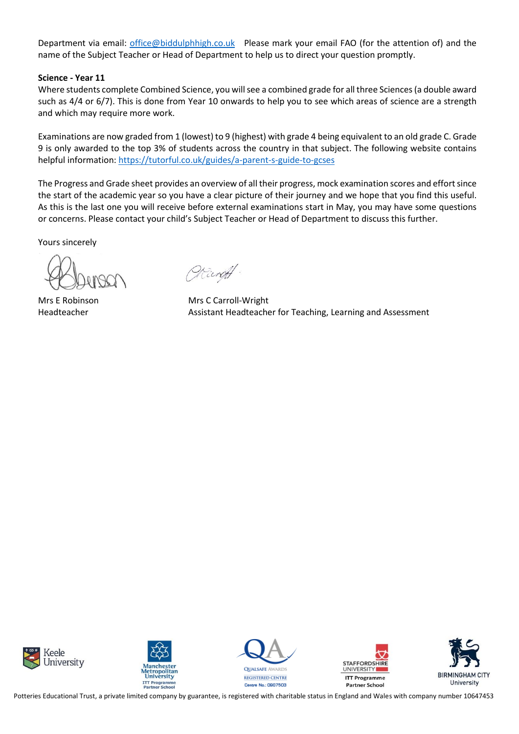Department via email: [office@biddulphhigh.co.uk](mailto:office@biddulphhigh.co.uk) Please mark your email FAO (for the attention of) and the name of the Subject Teacher or Head of Department to help us to direct your question promptly.

## **Science - Year 11**

Where students complete Combined Science, you will see a combined grade for all three Sciences (a double award such as 4/4 or 6/7). This is done from Year 10 onwards to help you to see which areas of science are a strength and which may require more work.

Examinations are now graded from 1 (lowest) to 9 (highest) with grade 4 being equivalent to an old grade C. Grade 9 is only awarded to the top 3% of students across the country in that subject. The following website contains helpful information:<https://tutorful.co.uk/guides/a-parent-s-guide-to-gcses>

The Progress and Grade sheet provides an overview of all their progress, mock examination scores and effort since the start of the academic year so you have a clear picture of their journey and we hope that you find this useful. As this is the last one you will receive before external examinations start in May, you may have some questions or concerns. Please contact your child's Subject Teacher or Head of Department to discuss this further.

Yours sincerely

OKundt.

Mrs E Robinson Mrs C Carroll-Wright Headteacher **Assistant Headteacher for Teaching, Learning and Assessment** 











Potteries Educational Trust, a private limited company by guarantee, is registered with charitable status in England and Wales with company number 10647453